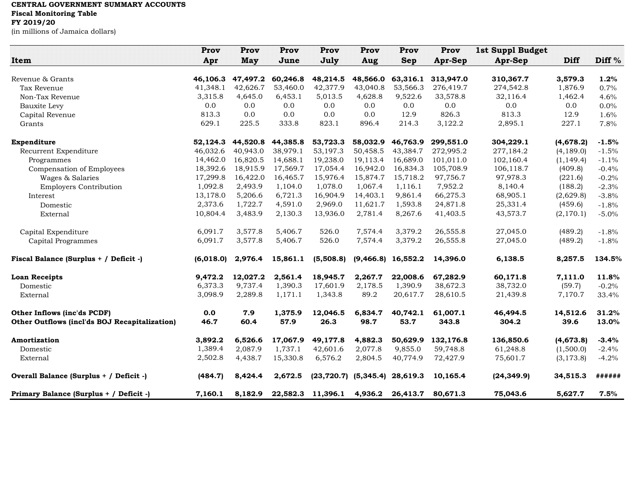## **CENTRAL GOVERNMENT SUMMARY ACCOUNTS**

**Fiscal Monitoring Table**

## **FY 2019/20**

(in millions of Jamaica dollars)

|                                               | Prov      | Prov       | Prov     | Prov                       | Prov       | Prov       | Prov           | <b>1st Suppl Budget</b> |            |         |
|-----------------------------------------------|-----------|------------|----------|----------------------------|------------|------------|----------------|-------------------------|------------|---------|
| Item                                          | Apr       | <b>May</b> | June     | July                       | Aug        | <b>Sep</b> | <b>Apr-Sep</b> | Apr-Sep                 | Diff       | Diff %  |
| Revenue & Grants                              | 46,106.3  | 47,497.2   | 60,246.8 | 48,214.5                   | 48,566.0   | 63,316.1   | 313,947.0      | 310,367.7               | 3,579.3    | 1.2%    |
| Tax Revenue                                   | 41,348.1  | 42,626.7   | 53,460.0 | 42,377.9                   | 43,040.8   | 53,566.3   | 276,419.7      | 274,542.8               | 1,876.9    | 0.7%    |
| Non-Tax Revenue                               | 3,315.8   | 4,645.0    | 6,453.1  | 5,013.5                    | 4,628.8    | 9,522.6    | 33,578.8       | 32,116.4                | 1,462.4    | 4.6%    |
| Bauxite Levy                                  | 0.0       | 0.0        | 0.0      | 0.0                        | 0.0        | 0.0        | 0.0            | 0.0                     | 0.0        | $0.0\%$ |
| Capital Revenue                               | 813.3     | 0.0        | 0.0      | 0.0                        | 0.0        | 12.9       | 826.3          | 813.3                   | 12.9       | 1.6%    |
| Grants                                        | 629.1     | 225.5      | 333.8    | 823.1                      | 896.4      | 214.3      | 3,122.2        | 2,895.1                 | 227.1      | 7.8%    |
| Expenditure                                   | 52,124.3  | 44,520.8   | 44,385.8 | 53,723.3                   | 58,032.9   | 46,763.9   | 299,551.0      | 304,229.1               | (4,678.2)  | $-1.5%$ |
| Recurrent Expenditure                         | 46,032.6  | 40,943.0   | 38,979.1 | 53,197.3                   | 50,458.5   | 43,384.7   | 272,995.2      | 277,184.2               | (4, 189.0) | $-1.5%$ |
| Programmes                                    | 14,462.0  | 16.820.5   | 14.688.1 | 19,238.0                   | 19.113.4   | 16.689.0   | 101,011.0      | 102,160.4               | (1, 149.4) | $-1.1%$ |
| Compensation of Employees                     | 18,392.6  | 18,915.9   | 17,569.7 | 17,054.4                   | 16,942.0   | 16,834.3   | 105,708.9      | 106,118.7               | (409.8)    | $-0.4%$ |
| Wages & Salaries                              | 17,299.8  | 16,422.0   | 16,465.7 | 15,976.4                   | 15,874.7   | 15,718.2   | 97,756.7       | 97,978.3                | (221.6)    | $-0.2%$ |
| <b>Employers Contribution</b>                 | 1,092.8   | 2,493.9    | 1,104.0  | 1,078.0                    | 1,067.4    | 1,116.1    | 7,952.2        | 8,140.4                 | (188.2)    | $-2.3%$ |
| Interest                                      | 13,178.0  | 5,206.6    | 6,721.3  | 16,904.9                   | 14,403.1   | 9,861.4    | 66,275.3       | 68,905.1                | (2,629.8)  | $-3.8%$ |
| Domestic                                      | 2,373.6   | 1,722.7    | 4,591.0  | 2,969.0                    | 11,621.7   | 1,593.8    | 24,871.8       | 25,331.4                | (459.6)    | $-1.8%$ |
| External                                      | 10,804.4  | 3,483.9    | 2,130.3  | 13,936.0                   | 2,781.4    | 8,267.6    | 41,403.5       | 43,573.7                | (2, 170.1) | $-5.0%$ |
| Capital Expenditure                           | 6,091.7   | 3,577.8    | 5,406.7  | 526.0                      | 7,574.4    | 3,379.2    | 26,555.8       | 27,045.0                | (489.2)    | $-1.8%$ |
| Capital Programmes                            | 6,091.7   | 3,577.8    | 5,406.7  | 526.0                      | 7,574.4    | 3,379.2    | 26,555.8       | 27,045.0                | (489.2)    | $-1.8%$ |
| Fiscal Balance (Surplus + / Deficit -)        | (6,018.0) | 2,976.4    | 15,861.1 | (5,508.8)                  | (9, 466.8) | 16,552.2   | 14,396.0       | 6,138.5                 | 8,257.5    | 134.5%  |
| <b>Loan Receipts</b>                          | 9,472.2   | 12,027.2   | 2,561.4  | 18,945.7                   | 2,267.7    | 22,008.6   | 67,282.9       | 60,171.8                | 7,111.0    | 11.8%   |
| Domestic                                      | 6,373.3   | 9,737.4    | 1,390.3  | 17,601.9                   | 2,178.5    | 1,390.9    | 38,672.3       | 38,732.0                | (59.7)     | $-0.2%$ |
| External                                      | 3,098.9   | 2,289.8    | 1,171.1  | 1,343.8                    | 89.2       | 20,617.7   | 28,610.5       | 21,439.8                | 7,170.7    | 33.4%   |
| Other Inflows (inc'ds PCDF)                   | 0.0       | 7.9        | 1,375.9  | 12,046.5                   | 6,834.7    | 40,742.1   | 61,007.1       | 46,494.5                | 14,512.6   | 31.2%   |
| Other Outflows (incl'ds BOJ Recapitalization) | 46.7      | 60.4       | 57.9     | 26.3                       | 98.7       | 53.7       | 343.8          | 304.2                   | 39.6       | 13.0%   |
| Amortization                                  | 3,892.2   | 6,526.6    | 17,067.9 | 49,177.8                   | 4,882.3    | 50,629.9   | 132,176.8      | 136,850.6               | (4,673.8)  | $-3.4%$ |
| Domestic                                      | 1,389.4   | 2,087.9    | 1,737.1  | 42,601.6                   | 2,077.8    | 9,855.0    | 59,748.8       | 61,248.8                | (1,500.0)  | $-2.4%$ |
| External                                      | 2,502.8   | 4,438.7    | 15,330.8 | 6,576.2                    | 2,804.5    | 40,774.9   | 72,427.9       | 75,601.7                | (3, 173.8) | $-4.2%$ |
| Overall Balance (Surplus + / Deficit -)       | (484.7)   | 8,424.4    | 2,672.5  | $(23, 720.7)$ $(5, 345.4)$ |            | 28,619.3   | 10,165.4       | (24, 349.9)             | 34,515.3   | ######  |
| Primary Balance (Surplus + / Deficit -)       | 7,160.1   | 8,182.9    | 22,582.3 | 11,396.1                   | 4,936.2    | 26,413.7   | 80,671.3       | 75,043.6                | 5,627.7    | 7.5%    |